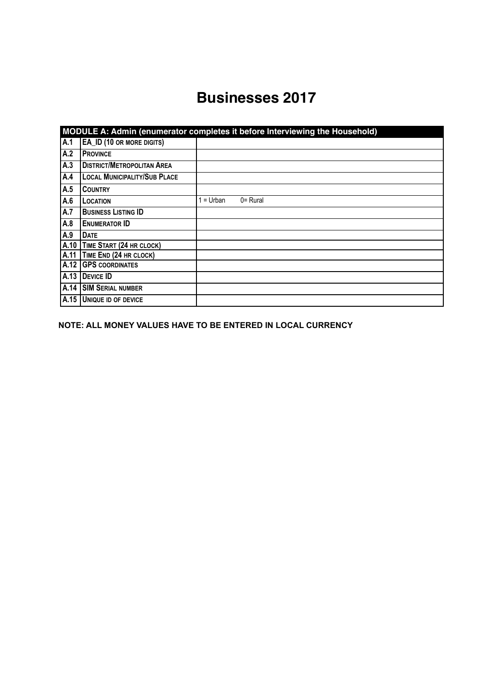## **Businesses 2017**

|      | MODULE A: Admin (enumerator completes it before Interviewing the Household) |         |             |  |  |  |  |
|------|-----------------------------------------------------------------------------|---------|-------------|--|--|--|--|
| A.1  | EA_ID (10 OR MORE DIGITS)                                                   |         |             |  |  |  |  |
| A.2  | <b>PROVINCE</b>                                                             |         |             |  |  |  |  |
| A.3  | <b>DISTRICT/METROPOLITAN AREA</b>                                           |         |             |  |  |  |  |
| A.4  | <b>LOCAL MUNICIPALITY/SUB PLACE</b>                                         |         |             |  |  |  |  |
| A.5  | <b>COUNTRY</b>                                                              |         |             |  |  |  |  |
| A.6  | LOCATION                                                                    | = Urban | $0 =$ Rural |  |  |  |  |
| A.7  | <b>BUSINESS LISTING ID</b>                                                  |         |             |  |  |  |  |
| A.8  | <b>ENUMERATOR ID</b>                                                        |         |             |  |  |  |  |
| A.9  | <b>DATE</b>                                                                 |         |             |  |  |  |  |
| A.10 | TIME START (24 HR CLOCK)                                                    |         |             |  |  |  |  |
| A.11 | TIME END (24 HR CLOCK)                                                      |         |             |  |  |  |  |
| A.12 | <b>GPS COORDINATES</b>                                                      |         |             |  |  |  |  |
| A.13 | <b>DEVICE ID</b>                                                            |         |             |  |  |  |  |
| A.14 | <b>SIM SERIAL NUMBER</b>                                                    |         |             |  |  |  |  |
| A.15 | <b>UNIQUE ID OF DEVICE</b>                                                  |         |             |  |  |  |  |

**NOTE: ALL MONEY VALUES HAVE TO BE ENTERED IN LOCAL CURRENCY**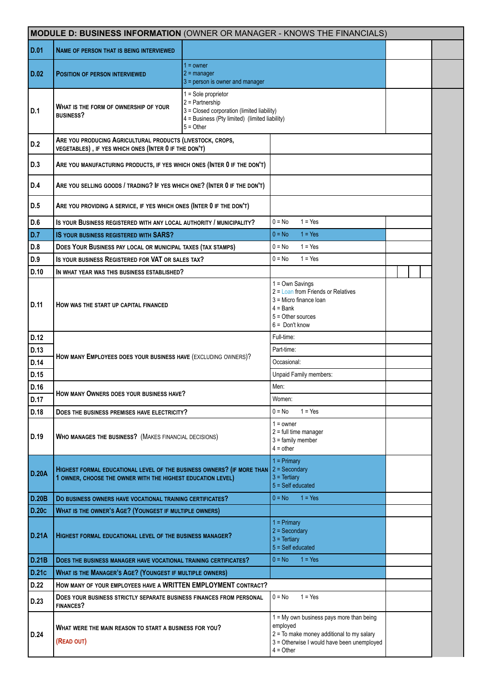|              | MODULE D: BUSINESS INFORMATION (OWNER OR MANAGER - KNOWS THE FINANCIALS)                                                              |                                                                                                                                                           |                                                                                                        |                                                                                                                                       |  |  |  |  |
|--------------|---------------------------------------------------------------------------------------------------------------------------------------|-----------------------------------------------------------------------------------------------------------------------------------------------------------|--------------------------------------------------------------------------------------------------------|---------------------------------------------------------------------------------------------------------------------------------------|--|--|--|--|
| D.01         | <b>NAME OF PERSON THAT IS BEING INTERVIEWED</b>                                                                                       |                                                                                                                                                           |                                                                                                        |                                                                                                                                       |  |  |  |  |
| D.02         | <b>POSITION OF PERSON INTERVIEWED</b>                                                                                                 | $1 =$ owner<br>$2 =$ manager<br>3 = person is owner and manager                                                                                           |                                                                                                        |                                                                                                                                       |  |  |  |  |
| D.1          | WHAT IS THE FORM OF OWNERSHIP OF YOUR<br><b>BUSINESS?</b>                                                                             | $1 =$ Sole proprietor<br>$2$ = Partnership<br>3 = Closed corporation (limited liability)<br>4 = Business (Pty limited) (limited liability)<br>$5 = Other$ |                                                                                                        |                                                                                                                                       |  |  |  |  |
| D.2          | ARE YOU PRODUCING AGRICULTURAL PRODUCTS (LIVESTOCK, CROPS,<br>VEGETABLES), IF YES WHICH ONES (INTER 0 IF THE DON'T)                   |                                                                                                                                                           |                                                                                                        |                                                                                                                                       |  |  |  |  |
| D.3          | ARE YOU MANUFACTURING PRODUCTS, IF YES WHICH ONES (INTER 0 IF THE DON'T)                                                              |                                                                                                                                                           |                                                                                                        |                                                                                                                                       |  |  |  |  |
| D.4          | ARE YOU SELLING GOODS / TRADING? IF YES WHICH ONE? (INTER 0 IF THE DON'T)                                                             |                                                                                                                                                           |                                                                                                        |                                                                                                                                       |  |  |  |  |
| D.5          | ARE YOU PROVIDING A SERVICE, IF YES WHICH ONES (INTER 0 IF THE DON'T)                                                                 |                                                                                                                                                           |                                                                                                        |                                                                                                                                       |  |  |  |  |
| D.6          | IS YOUR BUSINESS REGISTERED WITH ANY LOCAL AUTHORITY / MUNICIPALITY?                                                                  |                                                                                                                                                           | $0 = No$                                                                                               | $1 = Yes$                                                                                                                             |  |  |  |  |
| D.7          | <b>IS YOUR BUSINESS REGISTERED WITH SARS?</b>                                                                                         |                                                                                                                                                           | $0 = No$                                                                                               | $1 = Yes$                                                                                                                             |  |  |  |  |
| D.8          | DOES YOUR BUSINESS PAY LOCAL OR MUNICIPAL TAXES (TAX STAMPS)                                                                          |                                                                                                                                                           | $0 = No$                                                                                               | $1 = Yes$                                                                                                                             |  |  |  |  |
| D.9          | IS YOUR BUSINESS REGISTERED FOR VAT OR SALES TAX?                                                                                     |                                                                                                                                                           | $0 = No$                                                                                               | $1 = Yes$                                                                                                                             |  |  |  |  |
| D.10         | IN WHAT YEAR WAS THIS BUSINESS ESTABLISHED?                                                                                           |                                                                                                                                                           |                                                                                                        |                                                                                                                                       |  |  |  |  |
| D.11         | HOW WAS THE START UP CAPITAL FINANCED                                                                                                 |                                                                                                                                                           | $1 = Own$ Savings<br>$3$ = Micro finance loan<br>$4 = Bank$<br>$5 =$ Other sources<br>$6 =$ Don't know | $2 =$ Loan from Friends or Relatives                                                                                                  |  |  |  |  |
| D.12         |                                                                                                                                       |                                                                                                                                                           | Full-time:                                                                                             |                                                                                                                                       |  |  |  |  |
| D.13         | HOW MANY EMPLOYEES DOES YOUR BUSINESS HAVE (EXCLUDING OWNERS)?                                                                        |                                                                                                                                                           | Part-time:                                                                                             |                                                                                                                                       |  |  |  |  |
| D.14         |                                                                                                                                       |                                                                                                                                                           | Occasional:                                                                                            |                                                                                                                                       |  |  |  |  |
| D.15         |                                                                                                                                       |                                                                                                                                                           |                                                                                                        | Unpaid Family members:                                                                                                                |  |  |  |  |
| D.16<br>D.17 | HOW MANY OWNERS DOES YOUR BUSINESS HAVE?                                                                                              |                                                                                                                                                           | Men:<br>Women:                                                                                         |                                                                                                                                       |  |  |  |  |
| D.18         | DOES THE BUSINESS PREMISES HAVE ELECTRICITY?                                                                                          |                                                                                                                                                           | $0 = No$                                                                                               | $1 = Yes$                                                                                                                             |  |  |  |  |
| D.19         | <b>WHO MANAGES THE BUSINESS?</b> (MAKES FINANCIAL DECISIONS)                                                                          |                                                                                                                                                           | $1 =$ owner<br>$2 =$ full time manager<br>$3 =$ family member<br>$4 = other$                           |                                                                                                                                       |  |  |  |  |
| <b>D.20A</b> | HIGHEST FORMAL EDUCATIONAL LEVEL OF THE BUSINESS OWNERS? (IF MORE THAN<br>1 OWNER, CHOOSE THE OWNER WITH THE HIGHEST EDUCATION LEVEL) |                                                                                                                                                           | $1 = Primary$<br>$2 =$ Secondary<br>$3 = Tertiary$<br>$5 = Self$ educated                              |                                                                                                                                       |  |  |  |  |
| <b>D.20B</b> | DO BUSINESS OWNERS HAVE VOCATIONAL TRAINING CERTIFICATES?                                                                             |                                                                                                                                                           | $0 = No$                                                                                               | $1 = Yes$                                                                                                                             |  |  |  |  |
| <b>D.20c</b> | WHAT IS THE OWNER'S AGE? (YOUNGEST IF MULTIPLE OWNERS)                                                                                |                                                                                                                                                           |                                                                                                        |                                                                                                                                       |  |  |  |  |
| <b>D.21A</b> | HIGHEST FORMAL EDUCATIONAL LEVEL OF THE BUSINESS MANAGER?                                                                             |                                                                                                                                                           | $1 = Primary$<br>$2 =$ Secondary<br>$3 = Tertiary$<br>$5 = Self$ educated                              |                                                                                                                                       |  |  |  |  |
| D.21B        | DOES THE BUSINESS MANAGER HAVE VOCATIONAL TRAINING CERTIFICATES?                                                                      |                                                                                                                                                           | $0 = No$                                                                                               | $1 = Yes$                                                                                                                             |  |  |  |  |
| D.21c        | <b>WHAT IS THE MANAGER'S AGE? (YOUNGEST IF MULTIPLE OWNERS)</b>                                                                       |                                                                                                                                                           |                                                                                                        |                                                                                                                                       |  |  |  |  |
| D.22         | HOW MANY OF YOUR EMPLOYEES HAVE A WRITTEN EMPLOYMENT CONTRACT?                                                                        |                                                                                                                                                           |                                                                                                        |                                                                                                                                       |  |  |  |  |
| D.23         | DOES YOUR BUSINESS STRICTLY SEPARATE BUSINESS FINANCES FROM PERSONAL<br><b>FINANCES?</b>                                              |                                                                                                                                                           | $0 = No$                                                                                               | $1 = Yes$                                                                                                                             |  |  |  |  |
| D.24         | WHAT WERE THE MAIN REASON TO START A BUSINESS FOR YOU?<br>(READ OUT)                                                                  |                                                                                                                                                           | employed<br>$4 = Other$                                                                                | 1 = My own business pays more than being<br>$2 =$ To make money additional to my salary<br>3 = Otherwise I would have been unemployed |  |  |  |  |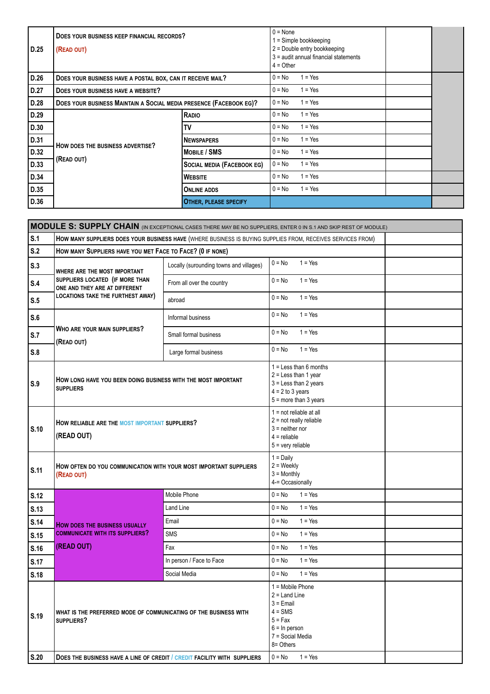| D.25 | $0 = \text{None}$<br>DOES YOUR BUSINESS KEEP FINANCIAL RECORDS?<br>(READ OUT)<br>$4 = Other$ |                                   |          | 1 = Simple bookkeeping<br>2 = Double entry bookkeeping<br>3 = audit annual financial statements |  |
|------|----------------------------------------------------------------------------------------------|-----------------------------------|----------|-------------------------------------------------------------------------------------------------|--|
| D.26 | DOES YOUR BUSINESS HAVE A POSTAL BOX, CAN IT RECEIVE MAIL?                                   |                                   | $0 = No$ | $1 = Yes$                                                                                       |  |
| D.27 | DOES YOUR BUSINESS HAVE A WEBSITE?                                                           |                                   | $0 = No$ | $1 = Yes$                                                                                       |  |
| D.28 | $0 = No$<br>DOES YOUR BUSINESS MAINTAIN A SOCIAL MEDIA PRESENCE (FACEBOOK EG)?               |                                   |          | $1 = Yes$                                                                                       |  |
| D.29 |                                                                                              | RADIO                             | $0 = No$ | $1 = Yes$                                                                                       |  |
| D.30 |                                                                                              | TV                                | $0 = No$ | $1 = Yes$                                                                                       |  |
| D.31 | HOW DOES THE BUSINESS ADVERTISE?                                                             | <b>NEWSPAPERS</b>                 | $0 = No$ | $1 = Yes$                                                                                       |  |
| D.32 |                                                                                              | <b>MOBILE / SMS</b>               | $0 = No$ | $1 = Yes$                                                                                       |  |
| D.33 | (READ OUT)                                                                                   | <b>SOCIAL MEDIA (FACEBOOK EG)</b> | $0 = No$ | $1 = Yes$                                                                                       |  |
| D.34 |                                                                                              | <b>WEBSITE</b>                    | $0 = No$ | $1 = Yes$                                                                                       |  |
| D.35 |                                                                                              | <b>ONLINE ADDS</b>                | $0 = No$ | $1 = Yes$                                                                                       |  |
| D.36 |                                                                                              | <b>OTHER, PLEASE SPECIFY</b>      |          |                                                                                                 |  |

|             | MODULE S: SUPPLY CHAIN (IN EXCEPTIONAL CASES THERE MAY BE NO SUPPLIERS, ENTER 0 IN S.1 AND SKIP REST OF MODULE) |                                                           |                                                                                                                                    |  |  |  |  |  |
|-------------|-----------------------------------------------------------------------------------------------------------------|-----------------------------------------------------------|------------------------------------------------------------------------------------------------------------------------------------|--|--|--|--|--|
| S.1         |                                                                                                                 |                                                           | HOW MANY SUPPLIERS DOES YOUR BUSINESS HAVE (WHERE BUSINESS IS BUYING SUPPLIES FROM, RECEIVES SERVICES FROM)                        |  |  |  |  |  |
| S.2         |                                                                                                                 | HOW MANY SUPPLIERS HAVE YOU MET FACE TO FACE? (0 IF NONE) |                                                                                                                                    |  |  |  |  |  |
| S.3         | WHERE ARE THE MOST IMPORTANT                                                                                    | Locally (surounding towns and villages)                   | $0 = No$<br>$1 = Yes$                                                                                                              |  |  |  |  |  |
| S.4         | SUPPLIERS LOCATED (IF MORE THAN<br>ONE AND THEY ARE AT DIFFERENT                                                | From all over the country                                 | $0 = No$<br>$1 = Yes$                                                                                                              |  |  |  |  |  |
| S.5         | LOCATIONS TAKE THE FURTHEST AWAY)                                                                               | abroad                                                    | $0 = No$<br>$1 = Yes$                                                                                                              |  |  |  |  |  |
| S.6         |                                                                                                                 | Informal business                                         | $1 = Yes$<br>$0 = No$                                                                                                              |  |  |  |  |  |
| S.7         | WHO ARE YOUR MAIN SUPPLIERS?<br>(READ OUT)                                                                      | Small formal business                                     | $0 = No$<br>$1 = Yes$                                                                                                              |  |  |  |  |  |
| S.8         |                                                                                                                 | Large formal business                                     | $1 = Yes$<br>$0 = No$                                                                                                              |  |  |  |  |  |
| S.9         | How long have you been doing business with the most important<br><b>SUPPLIERS</b>                               |                                                           | $1 =$ Less than 6 months<br>$2 =$ Less than 1 year<br>$3 =$ Less than 2 years<br>$4 = 2$ to 3 years<br>$5 =$ more than 3 years     |  |  |  |  |  |
| S.10        | HOW RELIABLE ARE THE MOST IMPORTANT SUPPLIERS?<br>(READ OUT)                                                    |                                                           | $1 = not reliable at all$<br>$2 = not really reliable$<br>$3$ = neither nor<br>$4$ = reliable<br>$5 =$ very reliable               |  |  |  |  |  |
| S.11        | How often do you communication with your most important suppliers<br>(READ OUT)                                 |                                                           | $1 = Daily$<br>$2 = \text{Weekly}$<br>$3 =$ Monthly<br>4-= Occasionally                                                            |  |  |  |  |  |
| S.12        |                                                                                                                 | Mobile Phone                                              | $0 = No$<br>$1 = Yes$                                                                                                              |  |  |  |  |  |
| S.13        |                                                                                                                 | <b>Land Line</b>                                          | $0 = No$<br>$1 = Yes$                                                                                                              |  |  |  |  |  |
| S.14        | <b>HOW DOES THE BUSINESS USUALLY</b>                                                                            | Email                                                     | $1 = Yes$<br>$0 = No$                                                                                                              |  |  |  |  |  |
| S.15        | <b>COMMUNICATE WITH ITS SUPPLIERS?</b>                                                                          | <b>SMS</b>                                                | $0 = No$<br>$1 = Yes$                                                                                                              |  |  |  |  |  |
| S.16        | (READ OUT)                                                                                                      | Fax                                                       | $0 = No$<br>$1 = Yes$                                                                                                              |  |  |  |  |  |
| <b>S.17</b> |                                                                                                                 | In person / Face to Face                                  | $1 = Yes$<br>$0 = No$                                                                                                              |  |  |  |  |  |
| S.18        |                                                                                                                 | Social Media                                              | $1 = Yes$<br>$0 = No$                                                                                                              |  |  |  |  |  |
| S.19        | WHAT IS THE PREFERRED MODE OF COMMUNICATING OF THE BUSINESS WITH<br>SUPPLIERS?                                  |                                                           | $1 =$ Mobile Phone<br>$2 =$ Land Line<br>$3$ = Email<br>$4 = SMS$<br>$5 = Fax$<br>$6 = ln$ person<br>7 = Social Media<br>8= Others |  |  |  |  |  |
| S.20        | DOES THE BUSINESS HAVE A LINE OF CREDIT / CREDIT FACILITY WITH SUPPLIERS                                        |                                                           | $1 = Yes$<br>$0 = No$                                                                                                              |  |  |  |  |  |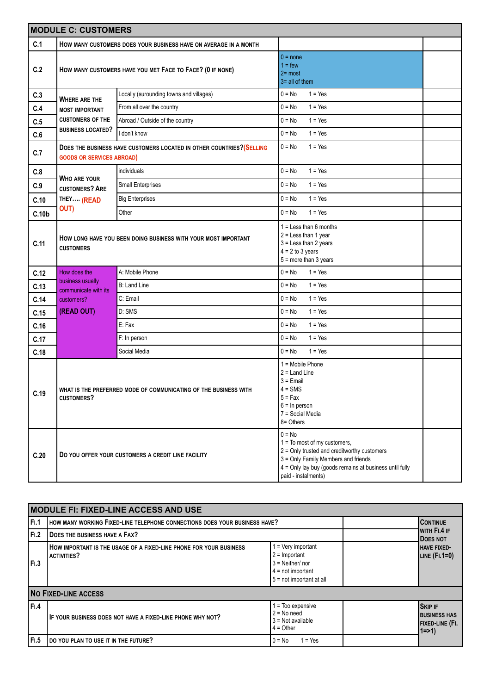|                   | <b>MODULE C: CUSTOMERS</b>                                                            |                                                                       |                                                                                                                                                                                                                      |  |  |  |
|-------------------|---------------------------------------------------------------------------------------|-----------------------------------------------------------------------|----------------------------------------------------------------------------------------------------------------------------------------------------------------------------------------------------------------------|--|--|--|
| C.1               |                                                                                       | HOW MANY CUSTOMERS DOES YOUR BUSINESS HAVE ON AVERAGE IN A MONTH      |                                                                                                                                                                                                                      |  |  |  |
| C.2               |                                                                                       | HOW MANY CUSTOMERS HAVE YOU MET FACE TO FACE? (0 IF NONE)             | $0 = none$<br>$1 = few$<br>$2 = most$<br>$3 =$ all of them                                                                                                                                                           |  |  |  |
| C.3               |                                                                                       | Locally (surounding towns and villages)                               | $0 = No$<br>$1 = Yes$                                                                                                                                                                                                |  |  |  |
| C.4               | <b>WHERE ARE THE</b><br><b>MOST IMPORTANT</b>                                         | From all over the country                                             | $1 = Yes$<br>$0 = No$                                                                                                                                                                                                |  |  |  |
| C.5               | <b>CUSTOMERS OF THE</b>                                                               | Abroad / Outside of the country                                       | $1 = Yes$<br>$0 = No$                                                                                                                                                                                                |  |  |  |
| C.6               | <b>BUSINESS LOCATED?</b>                                                              | I don't know                                                          | $0 = No$<br>$1 = Yes$                                                                                                                                                                                                |  |  |  |
| C.7               | <b>GOODS OR SERVICES ABROAD)</b>                                                      | DOES THE BUSINESS HAVE CUSTOMERS LOCATED IN OTHER COUNTRIES? (SELLING | $0 = No$<br>$1 = Yes$                                                                                                                                                                                                |  |  |  |
| C.8               |                                                                                       | individuals                                                           | $0 = No$<br>$1 = Yes$                                                                                                                                                                                                |  |  |  |
| C.9               | <b>WHO ARE YOUR</b><br><b>CUSTOMERS? ARE</b>                                          | Small Enterprises                                                     | $1 = Yes$<br>$0 = No$                                                                                                                                                                                                |  |  |  |
| C.10              | THEY (READ                                                                            | <b>Big Enterprises</b>                                                | $1 = Yes$<br>$0 = No$                                                                                                                                                                                                |  |  |  |
| C.10 <sub>b</sub> | OUT)                                                                                  | Other                                                                 | $1 = Yes$<br>$0 = No$                                                                                                                                                                                                |  |  |  |
| C.11              | <b>CUSTOMERS</b>                                                                      | HOW LONG HAVE YOU BEEN DOING BUSINESS WITH YOUR MOST IMPORTANT        | $1 =$ Less than 6 months<br>$2 =$ Less than 1 year<br>$3 =$ Less than 2 years<br>$4 = 2$ to 3 years<br>$5 =$ more than 3 years                                                                                       |  |  |  |
| C.12              | How does the                                                                          | A: Mobile Phone                                                       | $0 = No$<br>$1 = Yes$                                                                                                                                                                                                |  |  |  |
| C.13              | business usually<br>communicate with its                                              | <b>B: Land Line</b>                                                   | $1 = Yes$<br>$0 = No$                                                                                                                                                                                                |  |  |  |
| C.14              | customers?                                                                            | C: Email                                                              | $1 = Yes$<br>$0 = No$                                                                                                                                                                                                |  |  |  |
| C.15              | (READ OUT)                                                                            | D: SMS                                                                | $0 = No$<br>$1 = Yes$                                                                                                                                                                                                |  |  |  |
| C.16              |                                                                                       | E: Fax                                                                | $1 = Yes$<br>$0 = No$                                                                                                                                                                                                |  |  |  |
| C.17              |                                                                                       | F: In person                                                          | $1 = Yes$<br>$0 = No$                                                                                                                                                                                                |  |  |  |
| C.18              |                                                                                       | Social Media                                                          | $1 = Yes$<br>$0 = No$                                                                                                                                                                                                |  |  |  |
| C.19              | WHAT IS THE PREFERRED MODE OF COMMUNICATING OF THE BUSINESS WITH<br><b>CUSTOMERS?</b> |                                                                       | 1 = Mobile Phone<br>$2 =$ Land Line<br>$3 = E$ mail<br>$4 =$ SMS<br>$5 = Fax$<br>$6 = ln$ person<br>7 = Social Media<br>8= Others                                                                                    |  |  |  |
| C.20              |                                                                                       | DO YOU OFFER YOUR CUSTOMERS A CREDIT LINE FACILITY                    | $0 = No$<br>$1 = To most of my customers,$<br>$2$ = Only trusted and creditworthy customers<br>3 = Only Family Members and friends<br>4 = Only lay buy (goods remains at business until fully<br>paid - instalments) |  |  |  |

|      | <b>MODULE FI: FIXED-LINE ACCESS AND USE</b>                                              |                                                                                                                  |  |                                                                       |  |  |  |  |
|------|------------------------------------------------------------------------------------------|------------------------------------------------------------------------------------------------------------------|--|-----------------------------------------------------------------------|--|--|--|--|
| F1.1 | HOW MANY WORKING FIXED-LINE TELEPHONE CONNECTIONS DOES YOUR BUSINESS HAVE?               |                                                                                                                  |  | <b>CONTINUE</b>                                                       |  |  |  |  |
| F1.2 | <b>DOES THE BUSINESS HAVE A FAX?</b>                                                     |                                                                                                                  |  | WITH FI.4 IF<br><b>DOES NOT</b>                                       |  |  |  |  |
| F1.3 | HOW IMPORTANT IS THE USAGE OF A FIXED-LINE PHONE FOR YOUR BUSINESS<br><b>ACTIVITIES?</b> | 1 = Very important<br>$2 =$ Important<br>$3$ = Neither/ nor<br>$4 = not important$<br>$5 = not important at all$ |  | <b>HAVE FIXED-</b><br>LINE $(FI.1=0)$                                 |  |  |  |  |
|      | <b>NO FIXED-LINE ACCESS</b>                                                              |                                                                                                                  |  |                                                                       |  |  |  |  |
| F1.4 | IF YOUR BUSINESS DOES NOT HAVE A FIXED-LINE PHONE WHY NOT?                               | = Too expensive<br>$2 = No need$<br>$3 = Not available$<br>$4 = Other$                                           |  | <b>SKIP IF</b><br><b>BUSINESS HAS</b><br>FIXED-LINE (FI.<br>$1 = > 1$ |  |  |  |  |
| F1.5 | <b>DO YOU PLAN TO USE IT IN THE FUTURE?</b>                                              | $1 = Yes$<br>$0 = No$                                                                                            |  |                                                                       |  |  |  |  |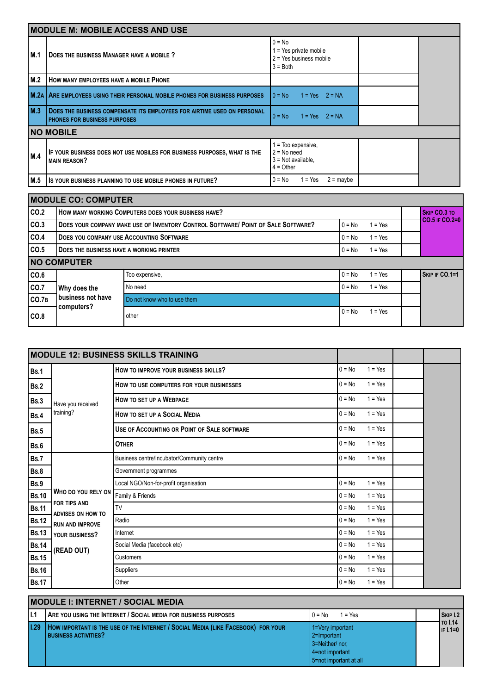|        | <b>MODULE M: MOBILE ACCESS AND USE</b>                                                                         |                                                                               |  |  |  |  |
|--------|----------------------------------------------------------------------------------------------------------------|-------------------------------------------------------------------------------|--|--|--|--|
| l M.1  | DOES THE BUSINESS MANAGER HAVE A MOBILE ?                                                                      | $0 = No$<br>l = Yes private mobile<br>$2 = Yes$ business mobile<br>$3 = Both$ |  |  |  |  |
| M.2    | HOW MANY EMPLOYEES HAVE A MOBILE PHONE                                                                         |                                                                               |  |  |  |  |
| l M.2A | ARE EMPLOYEES USING THEIR PERSONAL MOBILE PHONES FOR BUSINESS PURPOSES                                         | $10 = No$<br>$1 = Yes$ $2 = NA$                                               |  |  |  |  |
| M.3    | DOES THE BUSINESS COMPENSATE ITS EMPLOYEES FOR AIRTIME USED ON PERSONAL<br><b>PHONES FOR BUSINESS PURPOSES</b> | $10 = No$<br>$1 = Yes$ $2 = NA$                                               |  |  |  |  |
|        | <b>NO MOBILE</b>                                                                                               |                                                                               |  |  |  |  |
| M.4    | IF YOUR BUSINESS DOES NOT USE MOBILES FOR BUSINESS PURPOSES, WHAT IS THE<br><b>MAIN REASON?</b>                | = Too expensive,<br>$2 = No need$<br>$3$ = Not available,<br>$4 = Other$      |  |  |  |  |
| M.5    | IS YOUR BUSINESS PLANNING TO USE MOBILE PHONES IN FUTURE?                                                      | 1 = Yes<br>$2 =$ maybe<br>$0 = No$                                            |  |  |  |  |

|       | <b>MODULE CO: COMPUTER</b>                                               |                                                                                   |          |           |  |                     |  |  |
|-------|--------------------------------------------------------------------------|-----------------------------------------------------------------------------------|----------|-----------|--|---------------------|--|--|
| CO.2  |                                                                          | HOW MANY WORKING COMPUTERS DOES YOUR BUSINESS HAVE?                               |          |           |  | <b>SKIP CO.3 TO</b> |  |  |
| CO.3  |                                                                          | DOES YOUR COMPANY MAKE USE OF INVENTORY CONTROL SOFTWARE/ POINT OF SALE SOFTWARE? | $0 = No$ | $1 = Yes$ |  | $CO.5$ IF $CO.2=0$  |  |  |
| CO.4  | <b>DOES YOU COMPANY USE ACCOUNTING SOFTWARE</b>                          |                                                                                   | $0 = No$ | $1 = Yes$ |  |                     |  |  |
| CO.5  | <b>DOES THE BUSINESS HAVE A WORKING PRINTER</b><br>$1 = Yes$<br>$0 = No$ |                                                                                   |          |           |  |                     |  |  |
|       | <b>NO COMPUTER</b>                                                       |                                                                                   |          |           |  |                     |  |  |
| CO.6  |                                                                          | Too expensive,                                                                    | $0 = No$ | $= Yes$   |  | SKIP IF CO.1=1      |  |  |
| co.7  | Why does the                                                             | No need                                                                           | $0 = No$ | $1 = Yes$ |  |                     |  |  |
| CO.7B | l business not have<br>computers?                                        | Do not know who to use them                                                       |          |           |  |                     |  |  |
| CO.8  |                                                                          | other                                                                             | $0 = No$ | $1 = Yes$ |  |                     |  |  |

| <b>MODULE 12: BUSINESS SKILLS TRAINING</b> |                                          |                                             |          |           |  |  |
|--------------------------------------------|------------------------------------------|---------------------------------------------|----------|-----------|--|--|
| <b>Bs.1</b>                                |                                          | HOW TO IMPROVE YOUR BUSINESS SKILLS?        | $0 = No$ | $1 = Yes$ |  |  |
| <b>Bs.2</b>                                |                                          | HOW TO USE COMPUTERS FOR YOUR BUSINESSES    | $0 = No$ | $1 = Yes$ |  |  |
| <b>Bs.3</b>                                | Have you received                        | <b>HOW TO SET UP A WEBPAGE</b>              | $0 = No$ | $1 = Yes$ |  |  |
| <b>Bs.4</b>                                | training?                                | HOW TO SET UP A SOCIAL MEDIA                | $0 = No$ | $1 = Yes$ |  |  |
| <b>Bs.5</b>                                |                                          | USE OF ACCOUNTING OR POINT OF SALE SOFTWARE | $0 = No$ | $1 = Yes$ |  |  |
| Bs.6                                       |                                          | <b>OTHER</b>                                | $0 = No$ | $1 = Yes$ |  |  |
| Bs.7                                       |                                          | Business centre/Incubator/Community centre  | $0 = No$ | $1 = Yes$ |  |  |
| <b>Bs.8</b>                                |                                          | Government programmes                       |          |           |  |  |
| Bs.9                                       |                                          | Local NGO/Non-for-profit organisation       | $0 = No$ | $1 = Yes$ |  |  |
| <b>Bs.10</b>                               | WHO DO YOU RELY ON                       | Family & Friends                            | $0 = No$ | $1 = Yes$ |  |  |
| <b>Bs.11</b>                               | <b>FOR TIPS AND</b><br>ADVISES ON HOW TO | TV                                          | $0 = No$ | $1 = Yes$ |  |  |
| <b>Bs.12</b>                               | <b>RUN AND IMPROVE</b>                   | Radio                                       | $0 = No$ | $1 = Yes$ |  |  |
| <b>Bs.13</b>                               | YOUR BUSINESS?                           | Internet                                    | $0 = No$ | $1 = Yes$ |  |  |
| <b>Bs.14</b>                               | (READ OUT)                               | Social Media (facebook etc)                 | $0 = No$ | $1 = Yes$ |  |  |
| <b>Bs.15</b>                               |                                          | Customers                                   | $0 = No$ | $1 = Yes$ |  |  |
| <b>Bs.16</b>                               |                                          | Suppliers                                   | $0 = No$ | $1 = Yes$ |  |  |
| <b>Bs.17</b>                               |                                          | Other                                       | $0 = No$ | $1 = Yes$ |  |  |

|       | <b>MODULE I: INTERNET / SOCIAL MEDIA</b>                                                                        |                                                                                                |  |                            |  |  |  |
|-------|-----------------------------------------------------------------------------------------------------------------|------------------------------------------------------------------------------------------------|--|----------------------------|--|--|--|
| l I.1 | <b>ARE YOU USING THE INTERNET / SOCIAL MEDIA FOR BUSINESS PURPOSES</b>                                          | $10 = No$<br>$1 = Yes$                                                                         |  | SKIP 1.2                   |  |  |  |
| 1.29  | HOW IMPORTANT IS THE USE OF THE INTERNET / SOCIAL MEDIA (LIKE FACEBOOK) FOR YOUR<br><b>BUSINESS ACTIVITIES?</b> | 1=Very important<br>2=Important<br>3=Neither/nor,<br>4=not important<br>5=not important at all |  | <b>TO I.14</b><br>IF 1.1=0 |  |  |  |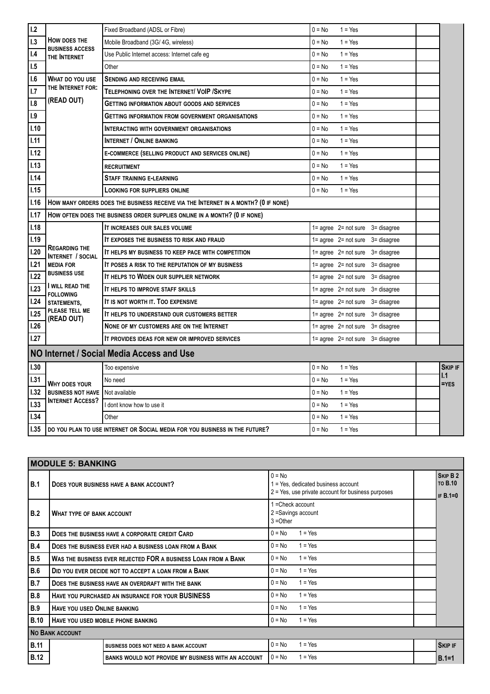| 1.2  |                                                  | Fixed Broadband (ADSL or Fibre)                                                    | $0 = No$<br>$1 = Yes$                                   |                |
|------|--------------------------------------------------|------------------------------------------------------------------------------------|---------------------------------------------------------|----------------|
| 1.3  | HOW DOES THE<br><b>BUSINESS ACCESS</b>           | Mobile Broadband (3G/4G, wireless)                                                 | $0 = No$<br>$1 = Yes$                                   |                |
| 1.4  | THE INTERNET                                     | Use Public Internet access: Internet cafe eg                                       | $0 = No$<br>$1 = Yes$                                   |                |
| 1.5  |                                                  | Other                                                                              | $1 = Yes$<br>$0 = No$                                   |                |
| 1.6  | <b>WHAT DO YOU USE</b>                           | <b>SENDING AND RECEIVING EMAIL</b>                                                 | $0 = No$<br>$1 = Yes$                                   |                |
| 1.7  | THE INTERNET FOR:                                | TELEPHONING OVER THE INTERNET/ VOIP / SKYPE                                        | $0 = No$<br>$1 = Yes$                                   |                |
| 1.8  | (READ OUT)                                       | <b>GETTING INFORMATION ABOUT GOODS AND SERVICES</b>                                | $0 = No$<br>$1 = Yes$                                   |                |
| 1.9  |                                                  | <b>GETTING INFORMATION FROM GOVERNMENT ORGANISATIONS</b>                           | $0 = No$<br>$1 = Yes$                                   |                |
| 1.10 |                                                  | <b>INTERACTING WITH GOVERNMENT ORGANISATIONS</b>                                   | $0 = No$<br>$1 = Yes$                                   |                |
| 1.11 |                                                  | <b>INTERNET / ONLINE BANKING</b>                                                   | $0 = No$<br>$1 = Yes$                                   |                |
| 1.12 |                                                  | E-COMMERCE (SELLING PRODUCT AND SERVICES ONLINE)                                   | $0 = No$<br>$1 = Yes$                                   |                |
| 1.13 |                                                  | <b>RECRUITMENT</b>                                                                 | $0 = No$<br>$1 = Yes$                                   |                |
| 1.14 |                                                  | <b>STAFF TRAINING E-LEARNING</b>                                                   | $0 = No$<br>$1 = Yes$                                   |                |
| 1.15 |                                                  | <b>LOOKING FOR SUPPLIERS ONLINE</b>                                                | $0 = No$<br>$1 = Yes$                                   |                |
| 1.16 |                                                  | HOW MANY ORDERS DOES THE BUSINESS RECEIVE VIA THE INTERNET IN A MONTH? (O IF NONE) |                                                         |                |
| I.17 |                                                  | HOW OFTEN DOES THE BUSINESS ORDER SUPPLIES ONLINE IN A MONTH? (0 IF NONE)          |                                                         |                |
| 1.18 |                                                  | IT INCREASES OUR SALES VOLUME                                                      | $1 = \text{agree}$ $2 = \text{not sure}$<br>3= disagree |                |
| 1.19 |                                                  | IT EXPOSES THE BUSINESS TO RISK AND FRAUD                                          | $1 = \text{agree}$ 2= not sure<br>3= disagree           |                |
| 1.20 | <b>REGARDING THE</b><br><b>INTERNET / SOCIAL</b> | IT HELPS MY BUSINESS TO KEEP PACE WITH COMPETITION                                 | $1 = agree$ $2 = not sure$<br>3= disagree               |                |
| 1.21 | <b>MEDIA FOR</b>                                 | IT POSES A RISK TO THE REPUTATION OF MY BUSINESS                                   | $1 = \text{agree}$ 2= not sure<br>3= disagree           |                |
| 1.22 | <b>BUSINESS USE</b>                              | IT HELPS TO WIDEN OUR SUPPLIER NETWORK                                             | $1 = \text{agree}$ 2= not sure<br>3= disagree           |                |
| 1.23 | I WILL READ THE<br><b>FOLLOWING</b>              | IT HELPS TO IMPROVE STAFF SKILLS                                                   | $1 = \text{agree}$ $2 = \text{not sure}$<br>3= disagree |                |
| L24  | <b>STATEMENTS,</b>                               | IT IS NOT WORTH IT. TOO EXPENSIVE                                                  | $1 = \text{agree}$ 2= not sure<br>3= disagree           |                |
| 1.25 | PLEASE TELL ME<br>(READ OUT)                     | IT HELPS TO UNDERSTAND OUR CUSTOMERS BETTER                                        | $1 = agree$ $2 = not sure$<br>3= disagree               |                |
| 1.26 |                                                  | NONE OF MY CUSTOMERS ARE ON THE INTERNET                                           | $1 = \text{agree}$ 2= not sure<br>3= disagree           |                |
| 1.27 |                                                  | IT PROVIDES IDEAS FOR NEW OR IMPROVED SERVICES                                     | $1 = \text{agree}$ 2 = not sure 3 = disagree            |                |
|      |                                                  | NO Internet / Social Media Access and Use                                          |                                                         |                |
| 1.30 |                                                  | Too expensive                                                                      | $0 = No$<br>$1 = Yes$                                   | <b>SKIP IF</b> |
| 1.31 | WHY DOES YOUR                                    | No need                                                                            | $0 = No$<br>$1 = Yes$                                   | 1.1<br>$=$ YES |
| 1.32 | <b>BUSINESS NOT HAVE</b>                         | Not available                                                                      | $1 = Yes$<br>$0 = No$                                   |                |
| 1.33 | <b>INTERNET ACCESS?</b>                          | I dont know how to use it                                                          | $0 = No$<br>$1 = Yes$                                   |                |
| 1.34 |                                                  | Other                                                                              | $0 = No$<br>$1 = Yes$                                   |                |
| 1.35 |                                                  | DO YOU PLAN TO USE INTERNET OR SOCIAL MEDIA FOR YOU BUSINESS IN THE FUTURE?        | $0 = No$<br>$1 = Yes$                                   |                |
|      |                                                  |                                                                                    |                                                         |                |

|             | <b>MODULE 5: BANKING</b>                             |                                                                |                                                                                                         |                                          |  |
|-------------|------------------------------------------------------|----------------------------------------------------------------|---------------------------------------------------------------------------------------------------------|------------------------------------------|--|
| l B.1       | DOES YOUR BUSINESS HAVE A BANK ACCOUNT?              |                                                                | $0 = No$<br>1 = Yes, dedicated business account<br>$2$ = Yes, use private account for business purposes | SKIP B 2<br><b>TO B.10</b><br>IF $B.1=0$ |  |
| B.2         | <b>WHAT TYPE OF BANK ACCOUNT</b>                     |                                                                | 1 = Check account<br>2 = Savings account<br>$3 = Other$                                                 |                                          |  |
| <b>B.3</b>  |                                                      | DOES THE BUSINESS HAVE A CORPORATE CREDIT CARD                 | $1 = Yes$<br>$0 = No$                                                                                   |                                          |  |
| <b>B.4</b>  |                                                      | <b>DOES THE BUSINESS EVER HAD A BUSINESS LOAN FROM A BANK</b>  | $1 = Yes$<br>$0 = No$                                                                                   |                                          |  |
| <b>B.5</b>  |                                                      | WAS THE BUSINESS EVER REJECTED FOR A BUSINESS LOAN FROM A BANK | $1 = Yes$<br>$0 = No$                                                                                   |                                          |  |
| <b>B.6</b>  | DID YOU EVER DECIDE NOT TO ACCEPT A LOAN FROM A BANK |                                                                | $1 = Yes$<br>$0 = No$                                                                                   |                                          |  |
| <b>B.7</b>  |                                                      | DOES THE BUSINESS HAVE AN OVERDRAFT WITH THE BANK              | $1 = Yes$<br>$0 = No$                                                                                   |                                          |  |
| <b>B.8</b>  |                                                      | HAVE YOU PURCHASED AN INSURANCE FOR YOUR BUSINESS              | $0 = No$<br>$1 = Yes$                                                                                   |                                          |  |
| <b>B.9</b>  | <b>HAVE YOU USED ONLINE BANKING</b>                  |                                                                | $0 = No$<br>$1 = Yes$                                                                                   |                                          |  |
| <b>B.10</b> | HAVE YOU USED MOBILE PHONE BANKING                   |                                                                | $1 = Yes$<br>$0 = No$                                                                                   |                                          |  |
|             | <b>NO BANK ACCOUNT</b>                               |                                                                |                                                                                                         |                                          |  |
| <b>B.11</b> |                                                      | <b>BUSINESS DOES NOT NEED A BANK ACCOUNT</b>                   | $0 = No$<br>$1 = Yes$                                                                                   | <b>SKIP IF</b>                           |  |
| <b>B.12</b> |                                                      | BANKS WOULD NOT PROVIDE MY BUSINESS WITH AN ACCOUNT            | $1 = Yes$<br>$0 = No$                                                                                   | $B.1=1$                                  |  |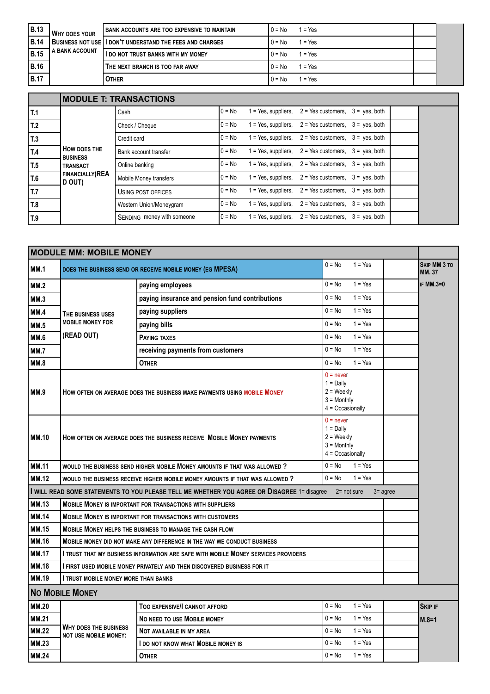| B.13        | I WHY DOES YOUR  | I BANK ACCOUNTS ARE TOO EXPENSIVE TO MAINTAIN                | $0 = No$ | l = Yes  |  |
|-------------|------------------|--------------------------------------------------------------|----------|----------|--|
| <b>B.14</b> |                  | I BUSINESS NOT USE I I DON'T UNDERSTAND THE FEES AND CHARGES | $0 = No$ | 1 = Yes  |  |
| <b>B.15</b> | I A BANK ACCOUNT | I I DO NOT TRUST BANKS WITH MY MONEY                         | $0 = No$ | $= Y$ es |  |
| <b>B.16</b> |                  | THE NEXT BRANCH IS TOO FAR AWAY                              | $0 = No$ | l = Yes  |  |
| <b>B.17</b> |                  | <b>OTHER</b>                                                 | $0 = No$ | $= Yes$  |  |

|                 | <b>MODULE T: TRANSACTIONS</b>          |                            |          |  |                                                              |  |  |
|-----------------|----------------------------------------|----------------------------|----------|--|--------------------------------------------------------------|--|--|
| T.1             |                                        | Cash                       | $0 = No$ |  | $1 = Yes$ , suppliers, $2 = Yes$ customers, $3 = yes$ , both |  |  |
| T.2             |                                        | Check / Cheque             | $0 = No$ |  | $1 = Yes$ , suppliers, $2 = Yes$ customers, $3 = yes$ , both |  |  |
| T.3             |                                        | Credit card                | $0 = No$ |  | $1 = Yes$ , suppliers, $2 = Yes$ customers, $3 = yes$ , both |  |  |
| T.4             | <b>HOW DOES THE</b><br><b>BUSINESS</b> | Bank account transfer      | $0 = No$ |  | $1 = Yes$ , suppliers, $2 = Yes$ customers, $3 = yes$ , both |  |  |
| T.5             | <b>TRANSACT</b>                        | Online banking             | $0 = No$ |  | $1 = Yes$ , suppliers, $2 = Yes$ customers, $3 = yes$ , both |  |  |
| T.6             | <b>FINANCIALLY (REA</b><br>D OUT)      | Mobile Money transfers     | $0 = No$ |  | $1 = Yes$ , suppliers, $2 = Yes$ customers, $3 = yes$ , both |  |  |
| $\overline{L7}$ |                                        | USING POST OFFICES         | $0 = No$ |  | $1 = Yes$ , suppliers, $2 = Yes$ customers, $3 = yes$ , both |  |  |
| T.8             |                                        | Western Union/Moneygram    | $0 = No$ |  | $1 = Yes$ , suppliers, $2 = Yes$ customers, $3 = yes$ , both |  |  |
| T.9             |                                        | SENDING money with someone | $0 = No$ |  | $1 = Yes$ , suppliers, $2 = Yes$ customers, $3 = yes$ , both |  |  |

|              | <b>MODULE MM: MOBILE MONEY</b>                                                                                                                                      |                                                                                             |                       |             |                                     |
|--------------|---------------------------------------------------------------------------------------------------------------------------------------------------------------------|---------------------------------------------------------------------------------------------|-----------------------|-------------|-------------------------------------|
| <b>MM.1</b>  | $0 = No$<br>$1 = Yes$<br>DOES THE BUSINESS SEND OR RECEIVE MOBILE MONEY (EG MPESA)                                                                                  |                                                                                             |                       |             | <b>SKIP MM 3 TO</b><br><b>MM.37</b> |
| MM.2         |                                                                                                                                                                     | paying employees                                                                            | $0 = No$<br>$1 = Yes$ |             | <b>IF MM.3=0</b>                    |
| MM.3         |                                                                                                                                                                     | paying insurance and pension fund contributions                                             | $1 = Yes$<br>$0 = No$ |             |                                     |
| MM.4         | THE BUSINESS USES                                                                                                                                                   | paying suppliers                                                                            | $0 = No$<br>$1 = Yes$ |             |                                     |
| <b>MM.5</b>  | <b>MOBILE MONEY FOR</b>                                                                                                                                             | paying bills                                                                                | $1 = Yes$<br>$0 = No$ |             |                                     |
| <b>MM.6</b>  | (READ OUT)                                                                                                                                                          | <b>PAYING TAXES</b>                                                                         | $0 = No$<br>$1 = Yes$ |             |                                     |
| MM.7         |                                                                                                                                                                     | receiving payments from customers                                                           | $1 = Yes$<br>$0 = No$ |             |                                     |
| MM.8         |                                                                                                                                                                     | <b>OTHER</b>                                                                                | $0 = No$<br>$1 = Yes$ |             |                                     |
| <b>MM.9</b>  | $0 =$ never<br>$1 =$ Daily<br>$2 = \text{Weekly}$<br>HOW OFTEN ON AVERAGE DOES THE BUSINESS MAKE PAYMENTS USING MOBILE MONEY<br>$3 =$ Monthly<br>$4 = Occasionally$ |                                                                                             |                       |             |                                     |
| <b>MM.10</b> | $0 =$ never<br>$1 =$ Daily<br>$2 =$ Weekly<br>HOW OFTEN ON AVERAGE DOES THE BUSINESS RECEIVE MOBILE MONEY PAYMENTS<br>$3 =$ Monthly<br>$4 = Occasionally$           |                                                                                             |                       |             |                                     |
| <b>MM.11</b> |                                                                                                                                                                     | WOULD THE BUSINESS SEND HIGHER MOBILE MONEY AMOUNTS IF THAT WAS ALLOWED ?                   | $0 = No$<br>$1 = Yes$ |             |                                     |
| <b>MM.12</b> |                                                                                                                                                                     | WOULD THE BUSINESS RECEIVE HIGHER MOBILE MONEY AMOUNTS IF THAT WAS ALLOWED?                 | $0 = No$<br>$1 = Yes$ |             |                                     |
|              |                                                                                                                                                                     | I WILL READ SOME STATEMENTS TO YOU PLEASE TELL ME WHETHER YOU AGREE OR DISAGREE 1= disagree | $2 = not sure$        | $3 =$ agree |                                     |
| <b>MM.13</b> |                                                                                                                                                                     | <b>MOBILE MONEY IS IMPORTANT FOR TRANSACTIONS WITH SUPPLIERS</b>                            |                       |             |                                     |
| <b>MM.14</b> | <b>MOBILE MONEY IS IMPORTANT FOR TRANSACTIONS WITH CUSTOMERS</b>                                                                                                    |                                                                                             |                       |             |                                     |
| <b>MM.15</b> | <b>MOBILE MONEY HELPS THE BUSINESS TO MANAGE THE CASH FLOW</b>                                                                                                      |                                                                                             |                       |             |                                     |
| <b>MM.16</b> | MOBILE MONEY DID NOT MAKE ANY DIFFERENCE IN THE WAY WE CONDUCT BUSINESS                                                                                             |                                                                                             |                       |             |                                     |
| <b>MM.17</b> | I TRUST THAT MY BUSINESS INFORMATION ARE SAFE WITH MOBILE MONEY SERVICES PROVIDERS                                                                                  |                                                                                             |                       |             |                                     |
| <b>MM.18</b> | I FIRST USED MOBILE MONEY PRIVATELY AND THEN DISCOVERED BUSINESS FOR IT                                                                                             |                                                                                             |                       |             |                                     |
| <b>MM.19</b> | <b>I TRUST MOBILE MONEY MORE THAN BANKS</b>                                                                                                                         |                                                                                             |                       |             |                                     |
|              | <b>NO MOBILE MONEY</b>                                                                                                                                              |                                                                                             |                       |             |                                     |
| <b>MM.20</b> |                                                                                                                                                                     | TOO EXPENSIVE/I CANNOT AFFORD                                                               | $0 = No$<br>$1 = Yes$ |             | <b>SKIP IF</b>                      |
| <b>MM.21</b> |                                                                                                                                                                     | <b>NO NEED TO USE MOBILE MONEY</b>                                                          | $0 = No$<br>$1 = Yes$ |             | $M.8 = 1$                           |
| <b>MM.22</b> | <b>WHY DOES THE BUSINESS</b><br><b>NOT USE MOBILE MONEY:</b>                                                                                                        | NOT AVAILABLE IN MY AREA                                                                    | $0 = No$<br>$1 = Yes$ |             |                                     |
| <b>MM.23</b> |                                                                                                                                                                     | I DO NOT KNOW WHAT MOBILE MONEY IS                                                          | $0 = No$<br>$1 = Yes$ |             |                                     |
| <b>MM.24</b> |                                                                                                                                                                     | <b>OTHER</b>                                                                                | $0 = No$<br>$1 = Yes$ |             |                                     |